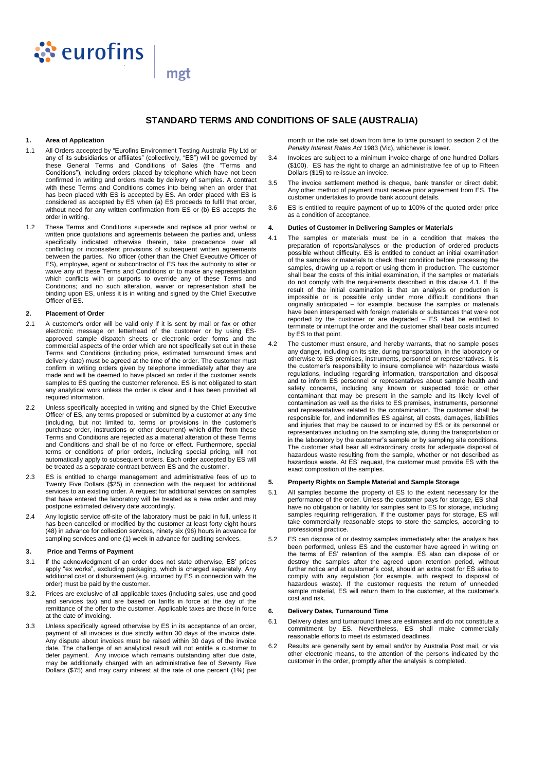

# **STANDARD TERMS AND CONDITIONS OF SALE (AUSTRALIA)**

#### **1. Area of Application**

1.1 All Orders accepted by "Eurofins Environment Testing Australia Pty Ltd or any of its subsidiaries or affiliates" (collectively, "ES") will be governed by these General Terms and Conditions of Sales (the "Terms and Conditions"), including orders placed by telephone which have not been confirmed in writing and orders made by delivery of samples. A contract with these Terms and Conditions comes into being when an order that has been placed with ES is accepted by ES. An order placed with ES is considered as accepted by ES when (a) ES proceeds to fulfil that order, without need for any written confirmation from ES or (b) ES accepts the order in writing.

mgt

1.2 These Terms and Conditions supersede and replace all prior verbal or written price quotations and agreements between the parties and, unless specifically indicated otherwise therein, take precedence over all conflicting or inconsistent provisions of subsequent written agreements between the parties. No officer (other than the Chief Executive Officer of ES), employee, agent or subcontractor of ES has the authority to alter or waive any of these Terms and Conditions or to make any representation which conflicts with or purports to override any of these Terms and Conditions; and no such alteration, waiver or representation shall be binding upon ES, unless it is in writing and signed by the Chief Executive Officer of ES.

# **2. Placement of Order**

- 2.1 A customer's order will be valid only if it is sent by mail or fax or other electronic message on letterhead of the customer or by using ESapproved sample dispatch sheets or electronic order forms and the commercial aspects of the order which are not specifically set out in these Terms and Conditions (including price, estimated turnaround times and delivery date) must be agreed at the time of the order. The customer must confirm in writing orders given by telephone immediately after they are made and will be deemed to have placed an order if the customer sends samples to ES quoting the customer reference. ES is not obligated to start any analytical work unless the order is clear and it has been provided all required information.
- 2.2 Unless specifically accepted in writing and signed by the Chief Executive Officer of ES, any terms proposed or submitted by a customer at any time (including, but not limited to, terms or provisions in the customer's purchase order, instructions or other document) which differ from these Terms and Conditions are rejected as a material alteration of these Terms and Conditions and shall be of no force or effect. Furthermore, special terms or conditions of prior orders, including special pricing, will not automatically apply to subsequent orders. Each order accepted by ES will be treated as a separate contract between ES and the customer.
- 2.3 ES is entitled to charge management and administrative fees of up to Twenty Five Dollars (\$25) in connection with the request for additional services to an existing order. A request for additional services on samples that have entered the laboratory will be treated as a new order and may postpone estimated delivery date accordingly.
- 2.4 Any logistic service off-site of the laboratory must be paid in full, unless it has been cancelled or modified by the customer at least forty eight hours (48) in advance for collection services, ninety six (96) hours in advance for sampling services and one (1) week in advance for auditing services.

#### **3. Price and Terms of Payment**

- 3.1 If the acknowledgment of an order does not state otherwise, ES' prices apply "ex works", excluding packaging, which is charged separately. Any additional cost or disbursement (e.g. incurred by ES in connection with the order) must be paid by the customer.
- 3.2. Prices are exclusive of all applicable taxes (including sales, use and good and services tax) and are based on tariffs in force at the day of the remittance of the offer to the customer. Applicable taxes are those in force at the date of invoicing.
- 3.3 Unless specifically agreed otherwise by ES in its acceptance of an order, payment of all invoices is due strictly within 30 days of the invoice date. Any dispute about invoices must be raised within 30 days of the invoice date. The challenge of an analytical result will not entitle a customer to defer payment. Any invoice which remains outstanding after due date, may be additionally charged with an administrative fee of Seventy Five Dollars (\$75) and may carry interest at the rate of one percent (1%) per

month or the rate set down from time to time pursuant to section 2 of the *Penalty Interest Rates Act* 1983 (Vic), whichever is lower.

- 3.4 Invoices are subject to a minimum invoice charge of one hundred Dollars (\$100). ES has the right to charge an administrative fee of up to Fifteen Dollars (\$15) to re-issue an invoice.
- 3.5 The invoice settlement method is cheque, bank transfer or direct debit. Any other method of payment must receive prior agreement from ES. The customer undertakes to provide bank account details.
- 3.6 ES is entitled to require payment of up to 100% of the quoted order price as a condition of acceptance.

#### **4. Duties of Customer in Delivering Samples or Materials**

- 4.1 The samples or materials must be in a condition that makes the preparation of reports/analyses or the production of ordered products possible without difficulty. ES is entitled to conduct an initial examination of the samples or materials to check their condition before processing the samples, drawing up a report or using them in production. The customer shall bear the costs of this initial examination, if the samples or materials do not comply with the requirements described in this clause 4.1. If the result of the initial examination is that an analysis or production is impossible or is possible only under more difficult conditions than originally anticipated – for example, because the samples or materials have been interspersed with foreign materials or substances that were not reported by the customer or are degraded – ES shall be entitled to terminate or interrupt the order and the customer shall bear costs incurred by ES to that point.
- 4.2 The customer must ensure, and hereby warrants, that no sample poses any danger, including on its site, during transportation, in the laboratory or otherwise to ES premises, instruments, personnel or representatives. It is the customer's responsibility to insure compliance with hazardous waste regulations, including regarding information, transportation and disposal and to inform ES personnel or representatives about sample health and safety concerns, including any known or suspected toxic or other contaminant that may be present in the sample and its likely level of contamination as well as the risks to ES premises, instruments, personnel and representatives related to the contamination. The customer shall be responsible for, and indemnifies ES against, all costs, damages, liabilities and injuries that may be caused to or incurred by ES or its personnel or representatives including on the sampling site, during the transportation or in the laboratory by the customer's sample or by sampling site conditions. The customer shall bear all extraordinary costs for adequate disposal of hazardous waste resulting from the sample, whether or not described as hazardous waste. At ES' request, the customer must provide ES with the exact composition of the samples.

#### **5. Property Rights on Sample Material and Sample Storage**

- 5.1 All samples become the property of ES to the extent necessary for the performance of the order. Unless the customer pays for storage, ES shall have no obligation or liability for samples sent to ES for storage, including samples requiring refrigeration. If the customer pays for storage, ES will take commercially reasonable steps to store the samples, according to professional practice.
- 5.2 ES can dispose of or destroy samples immediately after the analysis has been performed, unless ES and the customer have agreed in writing on the terms of ES' retention of the sample. ES also can dispose of or destroy the samples after the agreed upon retention period, without further notice and at customer's cost, should an extra cost for ES arise to comply with any regulation (for example, with respect to disposal of hazardous waste). If the customer requests the return of unneeded sample material, ES will return them to the customer, at the customer's cost and risk.

### **6. Delivery Dates, Turnaround Time**

- 6.1 Delivery dates and turnaround times are estimates and do not constitute a commitment by ES. Nevertheless, ES shall make commercially reasonable efforts to meet its estimated deadlines.
- 6.2 Results are generally sent by email and/or by Australia Post mail, or via other electronic means, to the attention of the persons indicated by the customer in the order, promptly after the analysis is completed.